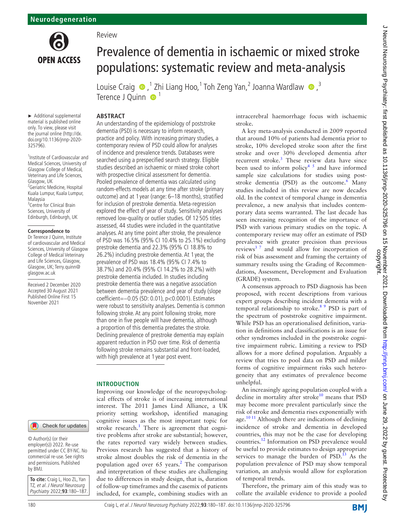

Prevalence of dementia in ischaemic or mixed stroke populations: systematic review and meta-analysis

LouiseCraig  $\bigcirc$ ,<sup>1</sup> Zhi Liang Hoo,<sup>1</sup> Toh Zeng Yan,<sup>2</sup> Joanna Wardlaw  $\bigcirc$ ,<sup>3</sup> Terence J Quinn  $\bullet$ <sup>1</sup>

# **ABSTRACT**

An understanding of the epidemiology of poststroke dementia (PSD) is necessary to inform research, practice and policy. With increasing primary studies, a contemporary review of PSD could allow for analyses of incidence and prevalence trends. Databases were searched using a prespecified search strategy. Eligible studies described an ischaemic or mixed stroke cohort with prospective clinical assessment for dementia. Pooled prevalence of dementia was calculated using random-effects models at any time after stroke (primary outcome) and at 1 year (range: 6–18 months), stratified for inclusion of prestroke dementia. Meta-regression explored the effect of year of study. Sensitivity analyses removed low-quality or outlier studies. Of 12 505 titles assessed, 44 studies were included in the quantitative analyses. At any time point after stroke, the prevalence of PSD was 16.5% (95% CI 10.4% to 25.1%) excluding prestroke dementia and 22.3% (95% CI 18.8% to 26.2%) including prestroke dementia. At 1 year, the prevalence of PSD was 18.4% (95% CI 7.4% to 38.7%) and 20.4% (95% CI 14.2% to 28.2%) with

Review

► Additional supplemental material is published online only. To view, please visit the journal online [\(http://dx.](http://dx.doi.org/10.1136/jnnp-2020-325796) [doi.org/10.1136/jnnp-2020-](http://dx.doi.org/10.1136/jnnp-2020-325796) [325796](http://dx.doi.org/10.1136/jnnp-2020-325796)).

1 Institute of Cardiovascular and Medical Sciences, University of Glasgow College of Medical, Veterinary and Life Sciences, Glasgow, UK <sup>2</sup> Geriatric Medicine, Hospital Kuala Lumpur, Kuala Lumpur, Malaysia <sup>3</sup> Centre for Clinical Brain Sciences, University of Edinburgh, Edinburgh, UK

#### **Correspondence to**

Dr Terence J Quinn, Institute of cardiovascular and Medical Sciences, University of Glasgow College of Medical Veterinary and Life Sciences, Glasgow, Glasgow, UK; Terry.quinn@ glasgow.ac.uk

Received 2 December 2020 Accepted 30 August 2021 Published Online First 15 November 2021

# Check for updates

© Author(s) (or their employer(s)) 2022. Re-use permitted under CC BY-NC. No commercial re-use. See rights and permissions. Published by BMJ.

**To cite:** Craig L, Hoo ZL, Yan TZ, et al. J Neurol Neurosurg Psychiatry 2022;**93**:180–187. prestroke dementia included. In studies including prestroke dementia there was a negative association between dementia prevalence and year of study (slope coefficient=−0.05 (SD: 0.01), p<0.0001). Estimates were robust to sensitivity analyses. Dementia is common following stroke. At any point following stroke, more than one in five people will have dementia, although a proportion of this dementia predates the stroke. Declining prevalence of prestroke dementia may explain apparent reduction in PSD over time. Risk of dementia following stroke remains substantial and front-loaded, with high prevalence at 1 year post event. **INTRODUCTION** Improving our knowledge of the neuropsychological effects of stroke is of increasing international interest. The 2011 James Lind Alliance, a UK priority setting workshop, identified managing cognitive issues as the most important topic for stroke research.<sup>[1](#page-6-0)</sup> There is agreement that cognitive problems after stroke are substantial; however, the rates reported vary widely between studies. Previous research has suggested that a history of stroke almost doubles the risk of dementia in the population aged over 65 years.<sup>[2](#page-6-1)</sup> The comparison and interpretation of these studies are challenging due to differences in study design, that is, duration

of follow-up timeframes and the casemix of patients included, for example, combining studies with an

intracerebral haemorrhage focus with ischaemic stroke.

A key meta-analysis conducted in 2009 reported that around 10% of patients had dementia prior to stroke, 10% developed stroke soon after the first stroke and over 30% developed dementia after recurrent stroke.<sup>[3](#page-6-2)</sup> These review data have since been used to inform policy<sup>4  $\bar{s}$ </sup> and have informed sample size calculations for studies using post-stroke dementia (PSD) as the outcome.<sup>[6](#page-6-5)</sup> Many studies included in this review are now decades old. In the context of temporal change in dementia prevalence, a new analysis that includes contemporary data seems warranted. The last decade has seen increasing recognition of the importance of PSD with various primary studies on the topic. A contemporary review may offer an estimate of PSD prevalence with greater precision than previous reviews<sup>37</sup> and would allow for incorporation of risk of bias assessment and framing the certainty of summary results using the Grading of Recommendations, Assessment, Development and Evaluation (GRADE) system.

A consensus approach to PSD diagnosis has been proposed, with recent descriptions from various expert groups describing incident dementia with a temporal relationship to stroke.<sup>8 9</sup> PSD is part of the spectrum of poststroke cognitive impairment. While PSD has an operationalised definition, variation in definitions and classifications is an issue for other syndromes included in the poststroke cognitive impairment rubric. Limiting a review to PSD allows for a more defined population. Arguably a review that tries to pool data on PSD and milder forms of cognitive impairment risks such heterogeneity that any estimates of prevalence become unhelpful.

An increasingly ageing population coupled with a decline in mortality after stroke<sup>10</sup> means that  $PSD$ may become more prevalent particularly since the risk of stroke and dementia rises exponentially with age. $10<sup>11</sup>$  Although there are indications of declining incidence of stroke and dementia in developed countries, this may not be the case for developing countries.[12](#page-6-8) Information on PSD prevalence would be useful to provide estimates to design appropriate services to manage the burden of  $PSD<sup>13</sup>$  As the population prevalence of PSD may show temporal variation, an analysis would allow for exploration of temporal trends.

Therefore, the primary aim of this study was to collate the available evidence to provide a pooled

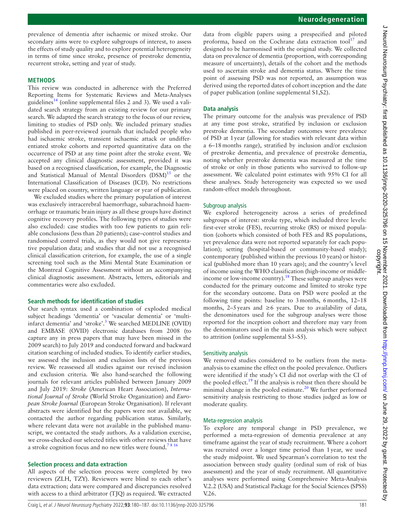prevalence of dementia after ischaemic or mixed stroke. Our secondary aims were to explore subgroups of interest, to assess the effects of study quality and to explore potential heterogeneity in terms of time since stroke, presence of prestroke dementia, recurrent stroke, setting and year of study.

### **METHODS**

This review was conducted in adherence with the Preferred Reporting Items for Systematic Reviews and Meta-Analyses guidelines<sup>[14](#page-6-10)</sup> ([online supplemental files 2 and 3\)](https://dx.doi.org/10.1136/jnnp-2020-325796). We used a validated search strategy from an existing review for our primary search. We adapted the search strategy to the focus of our review, limiting to studies of PSD only. We included primary studies published in peer-reviewed journals that included people who had ischaemic stroke, transient ischaemic attack or undifferentiated stroke cohorts and reported quantitative data on the occurrence of PSD at any time point after the stroke event. We accepted any clinical diagnostic assessment, provided it was based on a recognised classification, for example, the Diagnostic and Statistical Manual of Mental Disorders  $(DSM)^{15}$  or the International Classification of Diseases (ICD). No restrictions were placed on country, written language or year of publication.

We excluded studies where the primary population of interest was exclusively intracerebral haemorrhage, subarachnoid haemorrhage or traumatic brain injury as all these groups have distinct cognitive recovery profiles. The following types of studies were also excluded: case studies with too few patients to gain reliable conclusions (less than 20 patients); case–control studies and randomised control trials, as they would not give representative population data; and studies that did not use a recognised clinical classification criterion, for example, the use of a single screening tool such as the Mini Mental State Examination or the Montreal Cognitive Assessment without an accompanying clinical diagnostic assessment. Abstracts, letters, editorials and commentaries were also excluded.

#### **Search methods for identification of studies**

Our search syntax used a combination of exploded medical subject headings 'dementia' or 'vascular dementia' or 'multiinfarct dementia' and 'stroke'.<sup>3</sup> We searched MEDLINE (OVID) and EMBASE (OVID) electronic databases from 2008 (to capture any in press papers that may have been missed in the 2009 search) to July 2019 and conducted forward and backward citation searching of included studies. To identify earlier studies, we assessed the inclusion and exclusion lists of the previous review. We reassessed all studies against our revised inclusion and exclusion criteria. We also hand-searched the following journals for relevant articles published between January 2009 and July 2019: *Stroke* (American Heart Association), *International Journal of Stroke* (World Stroke Organization) and *European Stroke Journal* (European Stroke Organisation). If relevant abstracts were identified but the papers were not available, we contacted the author regarding publication status. Similarly, where relevant data were not available in the published manuscript, we contacted the study authors. As a validation exercise, we cross-checked our selected titles with other reviews that have a stroke cognition focus and no new titles were found.<sup>7816</sup>

#### **Selection process and data extraction**

All aspects of the selection process were completed by two reviewers (ZLH, TZY). Reviewers were blind to each other's data extraction; data were compared and discrepancies resolved with access to a third arbitrator (TJQ) as required. We extracted

data from eligible papers using a prespecified and piloted proforma, based on the Cochrane data extraction tool $17$  and designed to be harmonised with the original study. We collected data on prevalence of dementia (proportion, with corresponding measure of uncertainty), details of the cohort and the methods used to ascertain stroke and dementia status. Where the time point of assessing PSD was not reported, an assumption was derived using the reported dates of cohort inception and the date of paper publication [\(online supplemental S1,S2](https://dx.doi.org/10.1136/jnnp-2020-325796)).

### **Data analysis**

The primary outcome for the analysis was prevalence of PSD at any time post stroke, stratified by inclusion or exclusion prestroke dementia. The secondary outcomes were prevalence of PSD at 1year (allowing for studies with relevant data within a 6–18months range), stratified by inclusion and/or exclusion of prestroke dementia, and prevalence of prestroke dementia, noting whether prestroke dementia was measured at the time of stroke or only in those patients who survived to follow-up assessment. We calculated point estimates with 95% CI for all these analyses. Study heterogeneity was expected so we used random-effect models throughout.

# Subgroup analysis

We explored heterogeneity across a series of predefined subgroups of interest: stroke type, which included three levels: first-ever stroke (FES), recurring stroke (RS) or mixed population (cohorts which consisted of both FES and RS populations, yet prevalence data were not reported separately for each population); setting (hospital-based or community-based study); contemporary (published within the previous 10 years) or historical (published more than 10 years ago); and the country's level of income using the WHO classification (high-income or middleincome or low-income country).<sup>18</sup> These subgroup analyses were conducted for the primary outcome and limited to stroke type for the secondary outcome. Data on PSD were pooled at the following time points: baseline to 3months, 6months, 12–18 months, 2–5years and ≥6 years. Due to availability of data, the denominators used for the subgroup analyses were those reported for the inception cohort and therefore may vary from the denominators used in the main analysis which were subject to attrition [\(online supplemental S3–S5](https://dx.doi.org/10.1136/jnnp-2020-325796)).

#### Sensitivity analysis

We removed studies considered to be outliers from the metaanalysis to examine the effect on the pooled prevalence. Outliers were identified if the study's CI did not overlap with the CI of the pooled effect.<sup>19</sup> If the analysis is robust then there should be minimal change in the pooled estimate. $20$  We further performed sensitivity analysis restricting to those studies judged as low or moderate quality.

#### Meta-regression analysis

To explore any temporal change in PSD prevalence, we performed a meta-regression of dementia prevalence at any timeframe against the year of study recruitment. Where a cohort was recruited over a longer time period than 1year, we used the study midpoint. We used Spearman's correlation to test the association between study quality (ordinal sum of risk of bias assessment) and the year of study recruitment. All quantitative analyses were performed using Comprehensive Meta-Analysis V.2.2 (USA) and Statistical Package for the Social Sciences (SPSS) V.26.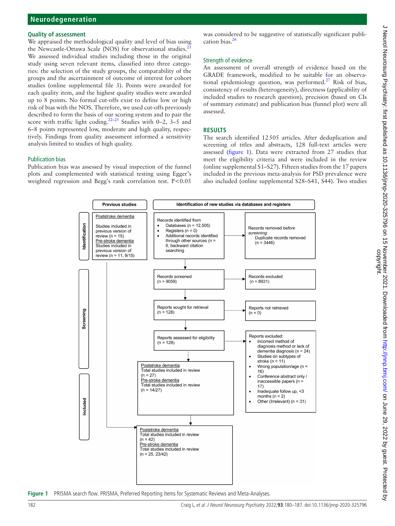#### **Quality of assessment**

We appraised the methodological quality and level of bias using the Newcastle-Ottawa Scale (NOS) for observational studies.<sup>2</sup> We assessed individual studies including those in the original study using seven relevant items, classified into three categories: the selection of the study groups, the comparability of the groups and the ascertainment of outcome of interest for cohort studies [\(online supplemental file 3](https://dx.doi.org/10.1136/jnnp-2020-325796)). Points were awarded for each quality item, and the highest quality studies were awarded up to 8 points. No formal cut-offs exist to define low or high risk of bias with the NOS. Therefore, we used cut-offs previously described to form the basis of our scoring system and to pair the score with traffic light coding.<sup>22–25</sup> Studies with 0–2,  $3-5$  and 6–8 points represented low, moderate and high quality, respectively. Findings from quality assessment informed a sensitivity analysis limited to studies of high quality.

### Publication bias

Publication bias was assessed by visual inspection of the funnel plots and complemented with statistical testing using Egger's weighted regression and Begg's rank correlation test. P<0.05

was considered to be suggestive of statistically significant publication bias. $26$ 

#### Strength of evidence

An assessment of overall strength of evidence based on the GRADE framework, modified to be suitable for an observa-tional epidemiology question, was performed.<sup>[27](#page-6-20)</sup> Risk of bias, consistency of results (heterogeneity), directness (applicability of included studies to research question), precision (based on CIs of summary estimate) and publication bias (funnel plot) were all assessed.

### **RESULTS**

The search identified 12505 articles. After deduplication and screening of titles and abstracts, 128 full-text articles were assessed ([figure](#page-2-0) 1). Data were extracted from 27 studies that meet the eligibility criteria and were included in the review ([online supplemental S1–S27](https://dx.doi.org/10.1136/jnnp-2020-325796)). Fifteen studies from the 17 papers included in the previous meta-analysis for PSD prevalence were also included ([online supplemental S28–S41, S44](https://dx.doi.org/10.1136/jnnp-2020-325796)). Two studies



<span id="page-2-0"></span>**Figure 1** PRISMA search flow. PRISMA, Preferred Reporting Items for Systematic Reviews and Meta-Analyses.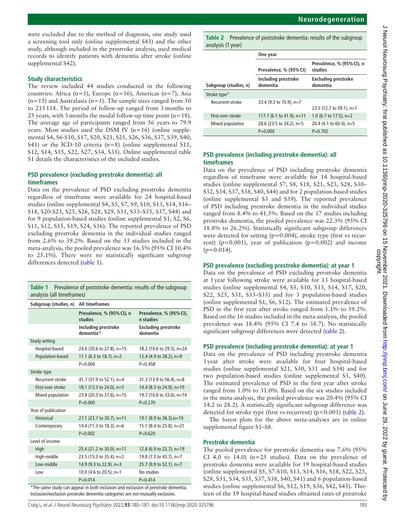were excluded due to the method of diagnosis, one study used a screening tool only [\(online supplemental S43](https://dx.doi.org/10.1136/jnnp-2020-325796)) and the other study, although included in the prestroke analysis, used medical records to identify patients with dementia after stroke [\(online](https://dx.doi.org/10.1136/jnnp-2020-325796)  [supplemental S42](https://dx.doi.org/10.1136/jnnp-2020-325796)).

### **Study characteristics**

The review included 44 studies conducted in the following countries: Africa (n=5), Europe (n=16), Americas (n=7), Asia  $(n=15)$  and Australasia  $(n=1)$ . The sample sizes ranged from 50 to 215118. The period of follow-up ranged from 3months to 25 years, with 3 months the modal follow-up time point  $(n=18)$ . The average age of participants ranged from 56 years to 79.9 years. Most studies used the DSM IV (n=16) ([online supple](https://dx.doi.org/10.1136/jnnp-2020-325796)[mental S4, S6-S10, S17, S20, S21, S25, S26, S36, S37, S39, S40,](https://dx.doi.org/10.1136/jnnp-2020-325796)  [S41\)](https://dx.doi.org/10.1136/jnnp-2020-325796) or the ICD-10 criteria (n=8) (online supplemental S11, [S12, S14, S15, S22, S27, S34, S35](https://dx.doi.org/10.1136/jnnp-2020-325796)). [Online supplemental table](https://dx.doi.org/10.1136/jnnp-2020-325796)  [S1](https://dx.doi.org/10.1136/jnnp-2020-325796) details the characteristics of the included studies.

# **PSD prevalence (excluding prestroke dementia): all timeframes**

Data on the prevalence of PSD excluding prestroke dementia regardless of timeframe were available for 24 hospital-based studies ([online supplemental S4, S5, S7, S9, S10, S13, S14, S16–](https://dx.doi.org/10.1136/jnnp-2020-325796) [S18, S20-S23, S25, S26, S28, S29, S31, S33–S35, S37, S44\)](https://dx.doi.org/10.1136/jnnp-2020-325796) and for 9 population-based studies ([online supplemental S1, S2, S6,](https://dx.doi.org/10.1136/jnnp-2020-325796)  [S11, S12, S15, S19, S24, S36](https://dx.doi.org/10.1136/jnnp-2020-325796)). The reported prevalence of PSD excluding prestroke dementia in the individual studies ranged from 2.6% to 39.2%. Based on the 33 studies included in the meta-analysis, the pooled prevalence was 16.5% (95% CI 10.4% to 25.1%). There were no statistically significant subgroup differences detected [\(table](#page-3-0) 1).

<span id="page-3-0"></span>

| <b>Table 1</b> Prevalence of poststroke dementia: results of the subgroup |
|---------------------------------------------------------------------------|
| analysis (all timeframes)                                                 |

| Subgroup (studies, n)                                                             | All timeframes                       |                                        |  |  |  |
|-----------------------------------------------------------------------------------|--------------------------------------|----------------------------------------|--|--|--|
|                                                                                   | Prevalence, % (95% CI), n<br>studies | Prevalence, % (95% CI),<br>n studies   |  |  |  |
|                                                                                   | Including prestroke<br>dementia*     | <b>Excluding prestroke</b><br>dementia |  |  |  |
| Study setting                                                                     |                                      |                                        |  |  |  |
| Hospital-based                                                                    | 24.0 (20.6 to 27.8), n=15            | 18.2 (10.6 to 29.5), n=24              |  |  |  |
| Population-based                                                                  | 11.1 (6.3 to 18.7), $n=2$            | 12.4 (4.9 to 28.2), $n=9$              |  |  |  |
|                                                                                   | $P = 0.004$                          | $P = 0.458$                            |  |  |  |
| Stroke type                                                                       |                                      |                                        |  |  |  |
| Recurrent stroke                                                                  | 41.7 (31.9 to 52.1), n=4             | 31.3 (13.9 to 56.4), $n=8$             |  |  |  |
| First-ever stroke                                                                 | 18.1 (13.3 to 24.0), n=5             | 14.4 (8.3 to 24.0), n=19               |  |  |  |
| Mixed population                                                                  | 23.8 (20.3 to 27.6), n=15            | 19.7 (10.6 to 33.6), n=14              |  |  |  |
|                                                                                   | $P = 0.000$                          | $P = 0.270$                            |  |  |  |
| Year of publication                                                               |                                      |                                        |  |  |  |
| <b>Historical</b>                                                                 | 27.1 (23.7 to 30.7), n=11            | 19.1 (8.9 to 36.3), n=10               |  |  |  |
| Contemporary                                                                      | 14.4 (11.3 to 18.3), n=6             | 15.1 (8.4 to 25.8), n=21               |  |  |  |
|                                                                                   | $P = 0.002$                          | $P = 0.620$                            |  |  |  |
| Level of income                                                                   |                                      |                                        |  |  |  |
| High                                                                              | 25.4 (21.2 to 30.0), n=11            | 12.8 (6.9 to 22.7), n=19               |  |  |  |
| High-middle                                                                       | 23.5 (15.3 to 35.4), n=2             | 19.8 (7.3 to 43.7), n=7                |  |  |  |
| Low-middle                                                                        | 14.9 (9.3 to 22.9), n=3              | 25.7 (9.9 to 52.1), n=7                |  |  |  |
| Low                                                                               | 10.0 (4.6 to 20.5), n=1              | No studies                             |  |  |  |
|                                                                                   | $P = 0.014$                          | $P = 0.414$                            |  |  |  |
| *The same study can appear in both inclusion and exclusion of prestroke dementia. |                                      |                                        |  |  |  |

Inclusion/exclusion prestroke dementia categories are not mutually exclusive.

<span id="page-3-1"></span>**Table 2** Prevalence of poststroke dementia: results of the subgroup analysis (1 year)

|                       | One year                        |                                        |  |  |
|-----------------------|---------------------------------|----------------------------------------|--|--|
|                       | Prevalence, % (95% CI)          | Prevalence, % (95% CI), n<br>studies   |  |  |
| Subgroup (studies, n) | Including prestroke<br>dementia | <b>Excluding prestroke</b><br>dementia |  |  |
| Stroke type*          |                                 |                                        |  |  |
| Recurrent stroke      | 33.4 (9.3 to 70.9), n=7         | 23.5 (12.7 to 39.1), n=1               |  |  |
| First-ever stroke     | 117.7 (6.1 to 41.9), $n=11$     | 1.0 (6.7 to 17.5), $n=2$               |  |  |
| Mixed population      | 28.6 (23.5 to 34.2), $n=5$      | 20.4 (4.1 to 60.4), $n=5$              |  |  |
|                       | $P = 0.000$                     | $P = 0.702$                            |  |  |

# **PSD prevalence (including prestroke dementia): all timeframes**

Data on the prevalence of PSD including prestroke dementia regardless of timeframe were available for 14 hospital-based studies [\(online supplemental S7, S8, S18, S21, S23, S28, S30–](https://dx.doi.org/10.1136/jnnp-2020-325796) [S32, S34, S37, S38, S40, S44\)](https://dx.doi.org/10.1136/jnnp-2020-325796) and for 2 population-based studies ([online supplemental S3 and S39](https://dx.doi.org/10.1136/jnnp-2020-325796)). The reported prevalence of PSD including prestroke dementia in the individual studies ranged from 8.4% to 41.5%. Based on the 17 studies including prestroke dementia, the pooled prevalence was 22.3% (95% CI 18.8% to 26.2%). Statistically significant subgroup differences were detected for setting  $(p=0.004)$ , stroke type (first vs recurrent) ( $p < 0.001$ ), year of publication ( $p = 0.002$ ) and income  $(p=0.014)$ .

# **PSD prevalence (excluding prestroke dementia): at year 1**

Data on the prevalence of PSD excluding prestroke dementia at 1year following stroke were available for 13 hospital-based studies ([online supplemental S4, S5, S10, S13, S14, S17, S20,](https://dx.doi.org/10.1136/jnnp-2020-325796) [S22, S25, S31, S33–S35\)](https://dx.doi.org/10.1136/jnnp-2020-325796) and for 3 population-based studies ([online supplemental S1, S6, S12](https://dx.doi.org/10.1136/jnnp-2020-325796)). The estimated prevalence of PSD in the first year after stroke ranged from 1.1% to 39.2%. Based on the 16 studies included in the meta-analysis, the pooled prevalence was 18.4% (95% CI 7.4 to 38.7). No statistically significant subgroup differences were detected [\(table](#page-3-1) 2).

## **PSD prevalence (including prestroke dementia): at year 1**

Data on the prevalence of PSD including prestroke dementia 1year after stroke were available for four hospital-based studies ([online supplemental S21, S30, S31 and S34\)](https://dx.doi.org/10.1136/jnnp-2020-325796) and for two population-based studies ([online supplemental S3, S40\)](https://dx.doi.org/10.1136/jnnp-2020-325796). The estimated prevalence of PSD in the first year after stroke ranged from 1.0% to 31.0%. Based on the six studies included in the meta-analysis, the pooled prevalence was 20.4% (95% CI 14.2 to 28.2). A statistically significant subgroup difference was detected for stroke type (first vs recurrent) (p<0.001) ([table](#page-3-1) 2).

The forest plots for the above meta-analyses are in [online](https://dx.doi.org/10.1136/jnnp-2020-325796) [supplemental figure S1–S8.](https://dx.doi.org/10.1136/jnnp-2020-325796)

# **Prestroke dementia**

The pooled prevalence for prestroke dementia was 7.6% (95% CI 4.0 to 14.0) ( $n=25$  studies). Data on the prevalence of prestroke dementia were available for 19 hospital-based studies ([online supplemental S5, S7-S10, S13, S14, S16, S18, S22, S25,](https://dx.doi.org/10.1136/jnnp-2020-325796) [S28, S31, S34, S35, S37, S38, S40, S41](https://dx.doi.org/10.1136/jnnp-2020-325796)) and 6 population-based studies [\(online supplemental S6, S12, S19, S36, S42, S45\)](https://dx.doi.org/10.1136/jnnp-2020-325796). Thirteen of the 19 hospital-based studies obtained rates of prestroke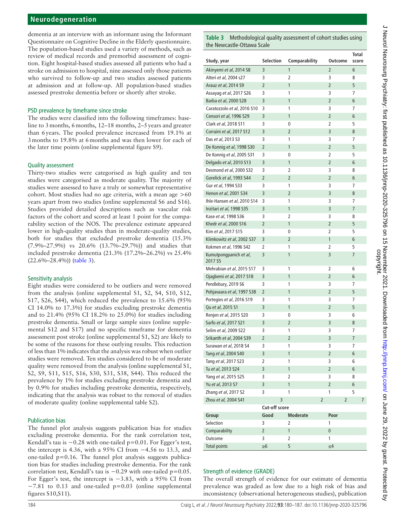dementia at an interview with an informant using the Informant Questionnaire on Cognitive Decline in the Elderly questionnaire. The population-based studies used a variety of methods, such as review of medical records and premorbid assessment of cognition. Eight hospital-based studies assessed all patients who had a stroke on admission to hospital, nine assessed only those patients who survived to follow-up and two studies assessed patients at admission and at follow-up. All population-based studies assessed prestroke dementia before or shortly after stroke.

# PSD prevalence by timeframe since stroke

The studies were classified into the following timeframes: baseline to 3 months, 6 months, 12–18 months, 2–5 years and greater than 6years. The pooled prevalence increased from 19.1% at 3months to 19.8% at 6months and was then lower for each of the later time points [\(online supplemental figure S9](https://dx.doi.org/10.1136/jnnp-2020-325796)).

## Quality assessment

Thirty-two studies were categorised as high quality and ten studies were categorised as moderate quality. The majority of studies were assessed to have a truly or somewhat representative cohort. Most studies had no age criteria, with a mean age >60 years apart from two studies [\(online supplemental S6 and S16](https://dx.doi.org/10.1136/jnnp-2020-325796)). Studies provided detailed descriptions such as vascular risk factors of the cohort and scored at least 1 point for the comparability section of the NOS. The prevalence estimate appeared lower in high-quality studies than in moderate-quality studies, both for studies that excluded prestroke dementia (15.3% (7.9%–27.9%) vs 20.6% (13.7%–29.7%)) and studies that included prestroke dementia (21.3% (17.2%–26.2%) vs 25.4% (22.6%–28.4%)) [\(table](#page-4-0) 3).

## Sensitivity analysis

Eight studies were considered to be outliers and were removed from the analysis [\(online supplemental S1, S2, S4, S10, S12,](https://dx.doi.org/10.1136/jnnp-2020-325796)  [S17, S26, S44](https://dx.doi.org/10.1136/jnnp-2020-325796)), which reduced the prevalence to 15.6% (95% CI 14.0% to 17.3%) for studies excluding prestroke dementia and to 21.4% (95% CI 18.2% to 25.0%) for studies including prestroke dementia. Small or large sample sizes [\(online supple](https://dx.doi.org/10.1136/jnnp-2020-325796)[mental S12 and S17](https://dx.doi.org/10.1136/jnnp-2020-325796)) and no specific timeframe for dementia assessment post stroke ([online supplemental S1, S2\)](https://dx.doi.org/10.1136/jnnp-2020-325796) are likely to be some of the reasons for these outlying results. This reduction of less than 1% indicates that the analysis was robust when outlier studies were removed. Ten studies considered to be of moderate quality were removed from the analysis ([online supplemental S1,](https://dx.doi.org/10.1136/jnnp-2020-325796)  [S2, S9, S11, S15, S16, S30, S31, S38, S44](https://dx.doi.org/10.1136/jnnp-2020-325796)). This reduced the prevalence by 1% for studies excluding prestroke dementia and by 0.9% for studies including prestroke dementia, respectively, indicating that the analysis was robust to the removal of studies of moderate quality [\(online supplemental table S2](https://dx.doi.org/10.1136/jnnp-2020-325796)).

## Publication bias

The funnel plot analysis suggests publication bias for studies excluding prestroke dementia. For the rank correlation test, Kendall's tau is −0.28 with one-tailed p=0.01. For Egger's test, the intercept is 4.36, with a 95% CI from −4.56 to 13.3, and one-tailed  $p=0.16$ . The funnel plot analysis suggests publication bias for studies including prestroke dementia. For the rank correlation test, Kendall's tau is −0.29 with one-tailed p=0.05. For Egger's test, the intercept is −3.83, with a 95% CI from −7.81 to 0.13 and one-tailed p=0.03 [\(online supplemental](https://dx.doi.org/10.1136/jnnp-2020-325796)  [figures S10,S11\)](https://dx.doi.org/10.1136/jnnp-2020-325796).

<span id="page-4-0"></span>

| Study, year                       | <b>Selection</b>     | Comparability   | Outcome        | Total<br>score |
|-----------------------------------|----------------------|-----------------|----------------|----------------|
| Akinyemi et al, 2014 S8           | 3                    | 1               | 2              | 6              |
| Alteri et al, 2004 s27            | 3                    | 2               | 3              | 8              |
| Arauz et al, 2014 S9              | $\overline{2}$       | 1               | $\overline{2}$ | 5              |
| Assayag et al, 2017 S26           | 3                    | 1               | 3              | 7              |
| Barba et al, 2000 S28             | 3                    | 1               | $\overline{2}$ | 6              |
| Caratozzolo et al, 2016 S10       | 3                    | 1               | 3              | 7              |
| Censori et al, 1996 S29           | 3                    | 1               | $\overline{2}$ | 6              |
| Clark et al, 2018 S11             | 3                    | 0               | 2              | 5              |
| Corraini et al, 2017 S12          | 3                    | $\overline{2}$  | 3              | 8              |
| Das et al, 2013 S3                | 3                    | 1               | 3              | 7              |
| De Konnig et al, 1998 S30         | $\overline{2}$       | 1               | $\overline{2}$ | 5              |
| De Konnig et al, 2005 S31         | 3                    | 0               | 2              | 5              |
| Delgado et al, 2010 S13           | 3                    | 1               | $\overline{2}$ | 6              |
| Desmond et al, 2000 S32           | 3                    | 2               | 3              | 8              |
| Gorelick et al, 1993 S44          | $\overline{2}$       | $\overline{2}$  | $\overline{2}$ | 6              |
| Gur et al, 1994 S33               | 3                    | 1               | 3              | 7              |
| Henon et al, 2001 S34             | 3                    | $\overline{2}$  | 3              | 8              |
| Ihle-Hansen et al, 2010 S14       | 3                    | 1               | 3              | 7              |
| Inzitari et al. 1998 S35          | 3                    | 1               | 3              | 7              |
| Kase et al, 1998 S36              | 3                    | 2               | 3              | 8              |
| Khedr et al. 2000 S16             | $\overline{2}$       | 1               | $\overline{2}$ | 5              |
| Kim et al, 2017 S15               | 3                    | 0               | 2              | 5              |
| Klimkowitz et al, 2002 S37        | 3                    | $\overline{2}$  | 1              | 6              |
| Kokmen et al, 1996 S42            | 2                    | 1               | 2              | 5              |
| Kumutpongpanich et al,<br>2017 S5 | 3                    | 1               | 3              | 7              |
| Mehrabian et al, 2015 S17         | 3                    | 1               | 2              | 6              |
| Ojagbemi et al, 2017 S18          | 3                    | 1               | 2              | 6              |
| Pendlebury, 2019 S6               | 3                    | 1               | 3              | 7              |
| Pohjavaara et al, 1997 S38        | $\overline{2}$       | 1               | 2              | 5              |
| Portegies et al, 2016 S19         | 3                    | 1               | 3              | 7              |
| Qu et al, 2015 S1                 | 3                    | 1               | $\overline{2}$ | 5              |
| Renjen et al, 2015 S20            | 3                    | 0               | 3              | 6              |
| Sarfo et al, 2017 S21             | 3                    | $\overline{2}$  | 3              | 8              |
| Selim et al, 2009 S22             | 3                    | 1               | 3              | 7              |
| Srikanth et al, 2004 S39          | $\overline{2}$       | $\overline{2}$  | 3              | 7              |
| Surawan et al, 2018 S4            | 3                    | 1               | 3              | 7              |
| Tang et al, 2004 S40              | 3                    | 1               | 2              | 6              |
| Tang et al, 2017 S23              | 2                    | 1               | 3              | 6              |
| Tu et al, 2013 S24                | 3                    | 1               | $\overline{2}$ | 6              |
| Yang et al, 2015 S25              | 3                    | 2               | 3              | 8              |
| Yu et al, 2013 S7                 | 3                    | 1               | $\overline{2}$ | 6              |
| Zhang et al, 2017 S2              | 3                    | 1               | 1              | 5              |
| Zhou et al, 2004 S41              | 3                    | 2               | 2              | 7              |
|                                   | <b>Cut-off score</b> |                 |                |                |
| Group                             | Good                 | <b>Moderate</b> | Poor           |                |
| Selection                         | 3                    | 2               | 1              |                |
| Comparability                     | $\overline{2}$       | 1               | 0              |                |
| Outcome                           | 3                    | 2               | 1              |                |
| <b>Total points</b>               | $\geq 6$             | 5               | $\leq 4$       |                |

# Strength of evidence (GRADE)

The overall strength of evidence for our estimate of dementia prevalence was graded as low due to a high risk of bias and inconsistency (observational heterogeneous studies), publication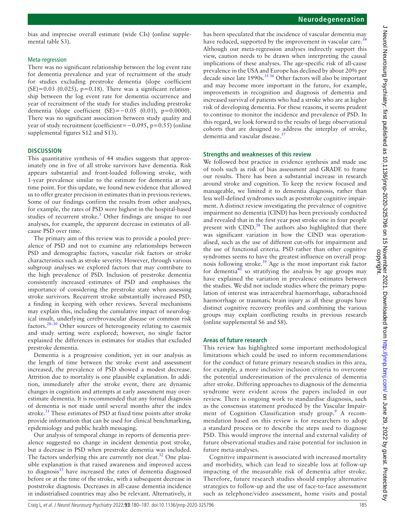bias and imprecise overall estimate (wide CIs) ([online supple](https://dx.doi.org/10.1136/jnnp-2020-325796)[mental table S3](https://dx.doi.org/10.1136/jnnp-2020-325796)).

### Meta-regression

There was no significant relationship between the log event rate for dementia prevalence and year of recruitment of the study for studies excluding prestroke dementia (slope coefficient  $(SE)=0.03$  (0.025), p=0.18). There was a significant relationship between the log event rate for dementia occurrence and year of recruitment of the study for studies including prestroke dementia (slope coefficient  $(SE) = -0.05$  (0.01), p=0.0000). There was no significant association between study quality and year of study recruitment (coefficient=−0.095, p=0.55) [\(online](https://dx.doi.org/10.1136/jnnp-2020-325796)  [supplemental figures S12 and S13](https://dx.doi.org/10.1136/jnnp-2020-325796)).

#### **DISCUSSION**

This quantitative synthesis of 44 studies suggests that approximately one in five of all stroke survivors have dementia. Risk appears substantial and front-loaded following stroke, with 1-year prevalence similar to the estimate for dementia at any time point. For this update, we found new evidence that allowed us to offer greater precision in estimates than in previous reviews. Some of our findings confirm the results from other analyses, for example, the rates of PSD were highest in the hospital-based studies of recurrent stroke.<sup>[3](#page-6-2)</sup> Other findings are unique to our analyses, for example, the apparent decrease in estimates of allcause PSD over time.

The primary aim of this review was to provide a pooled prevalence of PSD and not to examine any relationships between PSD and demographic factors, vascular risk factors or stroke characteristics such as stroke severity. However, through various subgroup analyses we explored factors that may contribute to the high prevalence of PSD. Inclusion of prestroke dementia consistently increased estimates of PSD and emphasises the importance of considering the prestroke state when assessing stroke survivors. Recurrent stroke substantially increased PSD, a finding in keeping with other reviews. Several mechanisms may explain this, including the cumulative impact of neurological insult, underlying cerebrovascular disease or common risk factors.<sup>28–30</sup> Other sources of heterogeneity relating to casemix and study setting were explored; however, no single factor explained the differences in estimates for studies that excluded prestroke dementia.

Dementia is a progressive condition, yet in our analysis as the length of time between the stroke event and assessment increased, the prevalence of PSD showed a modest decrease. Attrition due to mortality is one plausible explanation. In addition, immediately after the stroke event, there are dynamic changes in cognition and attempts at early assessment may overestimate dementia. It is recommended that any formal diagnosis of dementia is not made until several months after the index stroke.<sup>31</sup> These estimates of PSD at fixed time points after stroke provide information that can be used for clinical benchmarking, epidemiology and public health messaging.

Our analysis of temporal change in reports of dementia prevalence suggested no change in incident dementia post stroke, but a decrease in PSD when prestroke dementia was included. The factors underlying this are currently not clear.<sup>[32](#page-6-23)</sup> One plausible explanation is that raised awareness and improved access to diagnosis<sup>33</sup> have increased the rates of dementia diagnosed before or at the time of the stroke, with a subsequent decrease in poststroke diagnosis. Decreases in all-cause dementia incidence in industrialised countries may also be relevant. Alternatively, it

has been speculated that the incidence of vascular dementia may have reduced, supported by the improvement in vascular care.<sup>3</sup> Although our meta-regression analyses indirectly support this view, caution needs to be drawn when interpreting the causal implications of these analyses. The age-specific risk of all-cause prevalence in the USA and Europe has declined by about 20% per decade since late 1990s.<sup>35 36</sup> Other factors will also be important and may become more important in the future, for example, improvements in recognition and diagnosis of dementia and increased survival of patients who had a stroke who are at higher risk of developing dementia. For these reasons, it seems prudent to continue to monitor the incidence and prevalence of PSD. In this regard, we look forward to the results of large observational cohorts that are designed to address the interplay of stroke, dementia and vascular disease.<sup>37</sup>

#### **Strengths and weaknesses of this review**

We followed best practice in evidence synthesis and made use of tools such as risk of bias assessment and GRADE to frame our results. There has been a substantial increase in research around stroke and cognition. To keep the review focused and manageable, we limited it to dementia diagnosis, rather than less well-defined syndromes such as poststroke cognitive impairment. A distinct review investigating the prevalence of cognitive impairment no dementia (CIND) has been previously conducted and revealed that in the first year post stroke one in four people present with CIND.<sup>38</sup> The authors also highlighted that there was significant variation in how the CIND was operationalised, such as the use of different cut-offs for impairment and the use of functional criteria. PSD rather than other cognitive syndromes seems to have the greatest influence on overall prog-nosis following stroke.<sup>[39](#page-7-4)</sup> Age is the most important risk factor for dementia<sup>40</sup> so stratifying the analysis by age groups may have explained the variation in prevalence estimates between the studies. We did not include studies where the primary population of interest was intracerebral haemorrhage, subarachnoid haemorrhage or traumatic brain injury as all these groups have distinct cognitive recovery profiles and combining the various groups may explain conflicting results in previous research ([online supplemental S6 and S8](https://dx.doi.org/10.1136/jnnp-2020-325796)).

### **Areas of future research**

This review has highlighted some important methodological limitations which could be used to inform recommendations for the conduct of future primary research studies in this area, for example, a more inclusive inclusion criteria to overcome the potential underestimation of the prevalence of dementia after stroke. Differing approaches to diagnosis of the dementia syndrome were evident across the papers included in our review. There is ongoing work to standardise diagnosis, such as the consensus statement produced by the Vascular Impair-ment of Cognition Classification study group.<sup>[9](#page-6-25)</sup> A recommendation based on this review is for researchers to adopt a standard process or to describe the steps used to diagnose PSD. This would improve the internal and external validity of future observational studies and raise potential for inclusion in future meta-analyses.

Cognitive impairment is associated with increased mortality and morbidity, which can lead to sizeable loss at follow-up impacting of the measurable risk of dementia after stroke. Therefore, future research studies should employ alternative strategies to follow-up and the use of face-to-face assessment such as telephone/video assessment, home visits and postal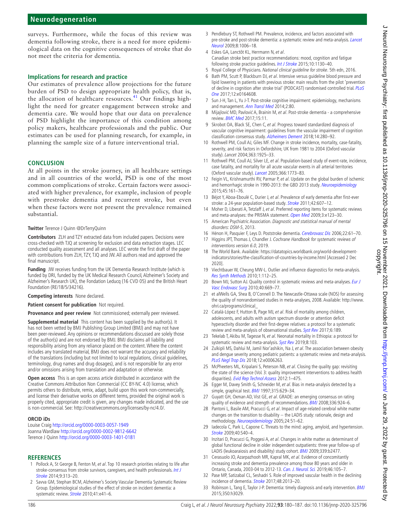surveys. Furthermore, while the focus of this review was dementia following stroke, there is a need for more epidemiological data on the cognitive consequences of stroke that do not meet the criteria for dementia.

### **Implications for research and practice**

Our estimates of prevalence allow projections for the future burden of PSD to design appropriate health policy, that is, the allocation of healthcare resources.<sup>41</sup> Our findings highlight the need for greater engagement between stroke and dementia care. We would hope that our data on prevalence of PSD highlight the importance of this condition among policy makers, healthcare professionals and the public. Our estimates can be used for planning research, for example, in planning the sample size of a future interventional trial.

# **CONCLUSION**

At all points in the stroke journey, in all healthcare settings and in all countries of the world, PSD is one of the most common complications of stroke. Certain factors were associated with higher prevalence, for example, inclusion of people with prestroke dementia and recurrent stroke, but even when these factors were not present the prevalence remained substantial.

#### **Twitter** Terence J Quinn [@DrTerryQuinn](https://twitter.com/DrTerryQuinn)

**Contributors** ZLH and TZY extracted data from included papers. Decisions were cross-checked with TJQ at screening for exclusion and data extraction stages. LEC conducted quality assessment and all analyses. LEC wrote the first draft of the paper with contributions from ZLH, TZY, TJQ and JW. All authors read and approved the final manuscript.

**Funding** JW receives funding from the UK Dementia Research Institute (which is funded by DRI, funded by the UK Medical Research Council, Alzheimer's Society and Alzheimer's Research UK), the Fondation Leducq (16 CVD 05) and the British Heart Foundation (RE/18/5/34216).

**Competing interests** None declared.

**Patient consent for publication** Not required.

**Provenance and peer review** Not commissioned; externally peer reviewed.

**Supplemental material** This content has been supplied by the author(s). It has not been vetted by BMJ Publishing Group Limited (BMJ) and may not have been peer-reviewed. Any opinions or recommendations discussed are solely those of the author(s) and are not endorsed by BMJ. BMJ disclaims all liability and responsibility arising from any reliance placed on the content. Where the content includes any translated material, BMJ does not warrant the accuracy and reliability of the translations (including but not limited to local regulations, clinical guidelines, terminology, drug names and drug dosages), and is not responsible for any error and/or omissions arising from translation and adaptation or otherwise.

**Open access** This is an open access article distributed in accordance with the Creative Commons Attribution Non Commercial (CC BY-NC 4.0) license, which permits others to distribute, remix, adapt, build upon this work non-commercially, and license their derivative works on different terms, provided the original work is properly cited, appropriate credit is given, any changes made indicated, and the use is non-commercial. See: <http://creativecommons.org/licenses/by-nc/4.0/>.

#### **ORCID iDs**

Louise Craig<http://orcid.org/0000-0003-0057-1949> Joanna Wardlaw <http://orcid.org/0000-0002-9812-6642> Terence J Quinn <http://orcid.org/0000-0003-1401-0181>

## **REFERENCES**

- <span id="page-6-0"></span>1 Pollock A, St George B, Fenton M, et al. Top 10 research priorities relating to life after stroke-consensus from stroke survivors, caregivers, and health professionals. [Int J](http://dx.doi.org/10.1111/j.1747-4949.2012.00942.x)  [Stroke](http://dx.doi.org/10.1111/j.1747-4949.2012.00942.x) 2014;9:313–20.
- <span id="page-6-1"></span>2 Savva GM, Stephan BCM, Alzheimer's Society Vascular Dementia Systematic Review Group. Epidemiological studies of the effect of stroke on incident dementia: a systematic review. [Stroke](http://dx.doi.org/10.1161/STROKEAHA.109.559880) 2010;41:e41-6.
- <span id="page-6-2"></span>3 Pendlebury ST, Rothwell PM. Prevalence, incidence, and factors associated with pre-stroke and post-stroke dementia: a systematic review and meta-analysis. [Lancet](http://dx.doi.org/10.1016/S1474-4422(09)70236-4)  [Neurol](http://dx.doi.org/10.1016/S1474-4422(09)70236-4) 2009;8:1006–18.
- <span id="page-6-3"></span>4 Eskes GA, Lanctôt KL, Herrmann N, et al. Canadian stroke best practice recommendations: mood, cognition and fatigue following stroke practice guidelines. [Int J Stroke](http://dx.doi.org/10.1111/ijs.12557) 2015;10:1130-40.
- <span id="page-6-4"></span>5 Royal College of Physicians. National clinical guideline for stroke. 5th edn, 2016.
- <span id="page-6-5"></span>6 Bath PM, Scutt P, Blackburn DJ, et al. Intensive versus guideline blood pressure and lipid lowering in patients with previous stroke: main results from the pilot 'prevention of decline in cognition after stroke trial' (PODCAST) randomised controlled trial. [PLoS](http://dx.doi.org/10.1371/journal.pone.0164608)  [One](http://dx.doi.org/10.1371/journal.pone.0164608) 2017;12:e0164608.
- <span id="page-6-12"></span>7 Sun J-H, Tan L, Yu J-T. Post-stroke cognitive impairment: epidemiology, mechanisms and management. [Ann Transl Med](http://dx.doi.org/10.3978/j.issn.2305-5839.2014.08.05) 2014;2:80.
- <span id="page-6-6"></span>8 Mijajlović MD, Pavlović A, Brainin M, et al. Post-stroke dementia - a comprehensive review. [BMC Med](http://dx.doi.org/10.1186/s12916-017-0779-7) 2017;15:11.
- <span id="page-6-25"></span>9 Skrobot OA, Black SE, Chen C, et al. Progress toward standardized diagnosis of vascular cognitive impairment: guidelines from the vascular impairment of cognition classification consensus study. [Alzheimers Dement](http://dx.doi.org/10.1016/j.jalz.2017.09.007) 2018;14:280–92.
- <span id="page-6-7"></span>10 Rothwell PM, Coull AJ, Giles MF. Change in stroke incidence, mortality, case-fatality, severity, and risk factors in Oxfordshire, UK from 1981 to 2004 (Oxford vascular study). Lancet 2004;363:1925–33.
- 11 Rothwell PM, Coull AJ, Silver LE, et al. Population-based study of event-rate, incidence, case fatality, and mortality for all acute vascular events in all arterial territories (Oxford vascular study). [Lancet](http://dx.doi.org/10.1016/S0140-6736(05)67702-1) 2005;366:1773–83.
- <span id="page-6-8"></span>12 Feigin VL, Krishnamurthi RV, Parmar P, et al. Update on the global burden of ischemic and hemorrhagic stroke in 1990-2013: the GBD 2013 study. [Neuroepidemiology](http://dx.doi.org/10.1159/000441085) 2015;45:161–76.
- <span id="page-6-9"></span>13 Béjot Y, Aboa-Eboulé C, Durier J, et al. Prevalence of early dementia after first-ever stroke: a 24-year population-based study. **[Stroke](http://dx.doi.org/10.1161/STROKEAHA.110.595553) 2011**;42:607-12.
- <span id="page-6-10"></span>14 Moher D, Liberati A, Tetzlaff J, et al. Preferred reporting items for systematic reviews and meta-analyses: the PRISMA statement. [Open Med](http://www.ncbi.nlm.nih.gov/pubmed/21603045) 2009;3:e123-30.
- <span id="page-6-11"></span>15 American Psychiatric Association. Diagnostic and statistical manual of mental disorders: DSM-5, 2013.
- 16 Hénon H, Pasquier F, Leys D. Poststroke dementia. [Cerebrovasc Dis](http://dx.doi.org/10.1159/000092923) 2006;22:61-70.
- <span id="page-6-13"></span>17 Higgins JPT, Thomas J, Chandler J. Cochrane Handbook for systematic reviews of interventions version 6.0, 2019.
- <span id="page-6-14"></span>18 The World Bank. Available: [https://datatopics.worldbank.org/world-development](https://datatopics.worldbank.org/world-development-indicators/stories/the-classification-of-countries-by-income.html)[indicators/stories/the-classification-of-countries-by-income.html](https://datatopics.worldbank.org/world-development-indicators/stories/the-classification-of-countries-by-income.html) [Accessed 2 Dec 2020].
- <span id="page-6-15"></span>19 Viechtbauer W, Cheung MW-L. Outlier and influence diagnostics for meta-analysis. [Res Synth Methods](http://dx.doi.org/10.1002/jrsm.11) 2010;1:112–25.
- <span id="page-6-16"></span>20 Bown MJ, Sutton AJ. Quality control in systematic reviews and meta-analyses. Eur J [Vasc Endovasc Surg](http://dx.doi.org/10.1016/j.ejvs.2010.07.011) 2010;40:669–77.
- <span id="page-6-17"></span>21 et alWells GA, Shea B, O'Connell D. The Newcastle-Ottawa scale (NOS) for assessing the quality of nonrandomised studies in meta-analyses, 2008. Available: [http://www.](http://www.ohri.ca/programs/clinical_) [ohri.ca/programs/clinical\\_](http://www.ohri.ca/programs/clinical_)
- <span id="page-6-18"></span>22 Catalá-López F, Hutton B, Page MJ, et al. Risk of mortality among children, adolescents, and adults with autism spectrum disorder or attention deficit hyperactivity disorder and their first-degree relatives: a protocol for a systematic review and meta-analysis of observational studies. [Syst Rev](http://dx.doi.org/10.1186/s13643-017-0581-9) 2017;6:189.
- 23 Tekelab T, Akibu M, Tagesse N, et al. Neonatal mortality in Ethiopia: a protocol for systematic review and meta-analysis. [Syst Rev](http://dx.doi.org/10.1186/s13643-019-1012-x) 2019;8:103.
- 24 Zulkipli MS, Dahlui M, Jamil Nor'ashikin, Na J, et al. The association between obesity and dengue severity among pediatric patients: a systematic review and meta-analysis. [PLoS Negl Trop Dis](http://dx.doi.org/10.1371/journal.pntd.0006263) 2018;12:e0006263.
- 25 McPheeters ML, Kripalani S, Peterson NB, et al. Closing the quality gap: revisiting the state of the science (Vol. 3: quality improvement interventions to address health disparities). [Evid Rep Technol Assess](http://www.ncbi.nlm.nih.gov/pubmed/24422952) 2012:1-475.
- <span id="page-6-19"></span>26 Egger M, Davey Smith G, Schneider M, et al. Bias in meta-analysis detected by a simple, graphical test. **[BMJ](http://dx.doi.org/10.1136/bmj.315.7109.629)** 1997;315:629-34.
- <span id="page-6-20"></span>27 Guyatt GH, Oxman AD, Vist GE, et al. GRADE: an emerging consensus on rating quality of evidence and strength of recommendations. [BMJ](http://dx.doi.org/10.1136/bmj.39489.470347.AD) 2008;336:924-6.
- <span id="page-6-21"></span>28 Pantoni L, Basile AM, Pracucci G, et al. Impact of age-related cerebral white matter changes on the transition to disability -- the LADIS study: rationale, design and methodology. [Neuroepidemiology](http://dx.doi.org/10.1159/000081050) 2005;24:51–62.
- 29 Iadecola C, Park L, Capone C. Threats to the mind: aging, amyloid, and hypertension. [Stroke](http://dx.doi.org/10.1161/STROKEAHA.108.533638) 2009;40:S40–4.
- 30 Inzitari D, Pracucci G, Poggesi A, et al. Changes in white matter as determinant of global functional decline in older independent outpatients: three year follow-up of LADIS (leukoaraiosis and disability) study cohort. [BMJ](http://dx.doi.org/10.1136/bmj.b2477) 2009;339:b2477.
- <span id="page-6-22"></span>31 Cerasuolo JO, Azarpazhooh MR, Kapral MK, et al. Evidence of concomitantly increasing stroke and dementia prevalence among those 80 years and older in Ontario, Canada, 2003-04 to 2012-13. [Can. J. Neurol. Sci.](http://dx.doi.org/10.1017/cjn.2018.347) 2019;46:105–7.
- <span id="page-6-23"></span>32 Pase MP, Satizabal CL, Seshadri S. Role of improved vascular health in the declining incidence of dementia. [Stroke](http://dx.doi.org/10.1161/STROKEAHA.117.013369) 2017;48:2013–20.
- <span id="page-6-24"></span>33 Robinson L, Tang E, Taylor J-P. Dementia: timely diagnosis and early intervention. [BMJ](http://dx.doi.org/10.1136/bmj.h3029) 2015;350:h3029.